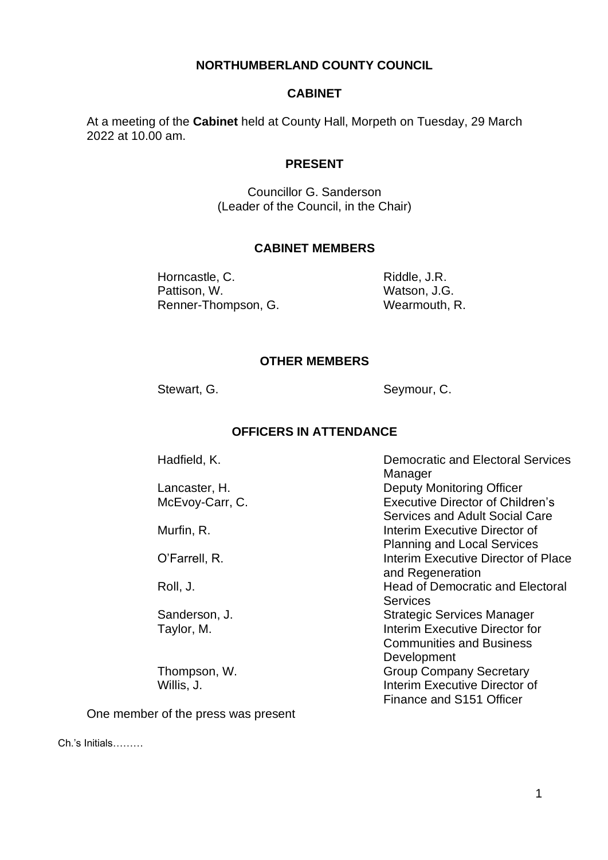### **NORTHUMBERLAND COUNTY COUNCIL**

#### **CABINET**

At a meeting of the **Cabinet** held at County Hall, Morpeth on Tuesday, 29 March 2022 at 10.00 am.

#### **PRESENT**

Councillor G. Sanderson (Leader of the Council, in the Chair)

#### **CABINET MEMBERS**

Horncastle, C. Pattison, W. Renner-Thompson, G.

Riddle, J.R. Watson, J.G. Wearmouth, R.

#### **OTHER MEMBERS**

Stewart, G. Seymour, C.

### **OFFICERS IN ATTENDANCE**

Hadfield, K.

Lancaster, H. McEvoy-Carr, C.

Murfin, R.

O'Farrell, R.

Roll, J.

Sanderson, J. Taylor, M.

Thompson, W. Willis, J.

One member of the press was present

Democratic and Electoral Services **Manager** Deputy Monitoring Officer Executive Director of Children's Services and Adult Social Care Interim Executive Director of Planning and Local Services Interim Executive Director of Place and Regeneration Head of Democratic and Electoral **Services** Strategic Services Manager Interim Executive Director for Communities and Business Development Group Company Secretary Interim Executive Director of Finance and S151 Officer

Ch.'s Initials………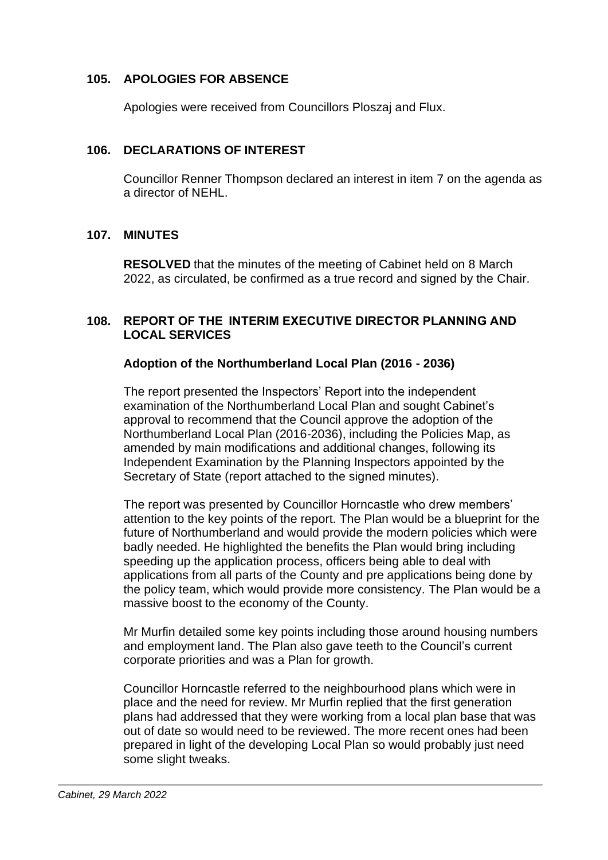## **105. APOLOGIES FOR ABSENCE**

Apologies were received from Councillors Ploszaj and Flux.

### **106. DECLARATIONS OF INTEREST**

Councillor Renner Thompson declared an interest in item 7 on the agenda as a director of NEHL.

### **107. MINUTES**

**RESOLVED** that the minutes of the meeting of Cabinet held on 8 March 2022, as circulated, be confirmed as a true record and signed by the Chair.

### **108. REPORT OF THE  INTERIM EXECUTIVE DIRECTOR PLANNING AND LOCAL SERVICES**

### **Adoption of the Northumberland Local Plan (2016 - 2036)**

The report presented the Inspectors' Report into the independent examination of the Northumberland Local Plan and sought Cabinet's approval to recommend that the Council approve the adoption of the Northumberland Local Plan (2016-2036), including the Policies Map, as amended by main modifications and additional changes, following its Independent Examination by the Planning Inspectors appointed by the Secretary of State (report attached to the signed minutes).

The report was presented by Councillor Horncastle who drew members' attention to the key points of the report. The Plan would be a blueprint for the future of Northumberland and would provide the modern policies which were badly needed. He highlighted the benefits the Plan would bring including speeding up the application process, officers being able to deal with applications from all parts of the County and pre applications being done by the policy team, which would provide more consistency. The Plan would be a massive boost to the economy of the County.

Mr Murfin detailed some key points including those around housing numbers and employment land. The Plan also gave teeth to the Council's current corporate priorities and was a Plan for growth.

Councillor Horncastle referred to the neighbourhood plans which were in place and the need for review. Mr Murfin replied that the first generation plans had addressed that they were working from a local plan base that was out of date so would need to be reviewed. The more recent ones had been prepared in light of the developing Local Plan so would probably just need some slight tweaks.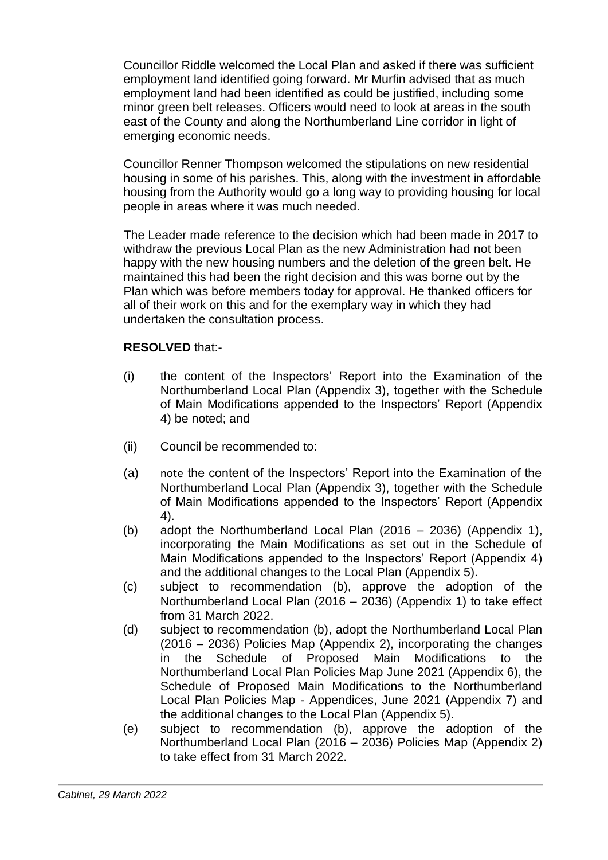Councillor Riddle welcomed the Local Plan and asked if there was sufficient employment land identified going forward. Mr Murfin advised that as much employment land had been identified as could be justified, including some minor green belt releases. Officers would need to look at areas in the south east of the County and along the Northumberland Line corridor in light of emerging economic needs.

Councillor Renner Thompson welcomed the stipulations on new residential housing in some of his parishes. This, along with the investment in affordable housing from the Authority would go a long way to providing housing for local people in areas where it was much needed.

The Leader made reference to the decision which had been made in 2017 to withdraw the previous Local Plan as the new Administration had not been happy with the new housing numbers and the deletion of the green belt. He maintained this had been the right decision and this was borne out by the Plan which was before members today for approval. He thanked officers for all of their work on this and for the exemplary way in which they had undertaken the consultation process.

# **RESOLVED** that:-

- (i) the content of the Inspectors' Report into the Examination of the Northumberland Local Plan (Appendix 3), together with the Schedule of Main Modifications appended to the Inspectors' Report (Appendix 4) be noted; and
- (ii) Council be recommended to:
- (a) note the content of the Inspectors' Report into the Examination of the Northumberland Local Plan (Appendix 3), together with the Schedule of Main Modifications appended to the Inspectors' Report (Appendix 4).
- (b) adopt the Northumberland Local Plan (2016 2036) (Appendix 1), incorporating the Main Modifications as set out in the Schedule of Main Modifications appended to the Inspectors' Report (Appendix 4) and the additional changes to the Local Plan (Appendix 5).
- (c) subject to recommendation (b), approve the adoption of the Northumberland Local Plan (2016 – 2036) (Appendix 1) to take effect from 31 March 2022.
- (d) subject to recommendation (b), adopt the Northumberland Local Plan (2016 – 2036) Policies Map (Appendix 2), incorporating the changes in the Schedule of Proposed Main Modifications to the Northumberland Local Plan Policies Map June 2021 (Appendix 6), the Schedule of Proposed Main Modifications to the Northumberland Local Plan Policies Map - Appendices, June 2021 (Appendix 7) and the additional changes to the Local Plan (Appendix 5).
- (e) subject to recommendation (b), approve the adoption of the Northumberland Local Plan (2016 – 2036) Policies Map (Appendix 2) to take effect from 31 March 2022.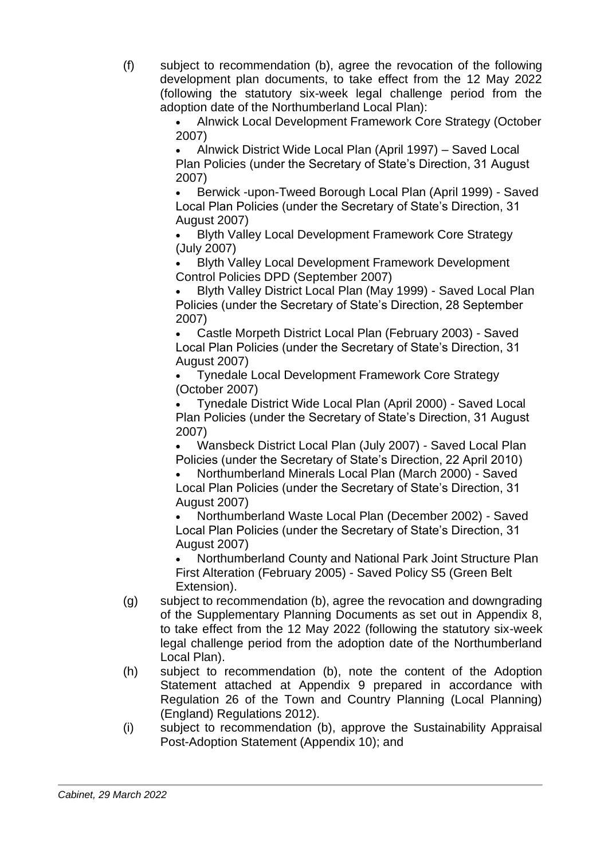(f) subject to recommendation (b), agree the revocation of the following development plan documents, to take effect from the 12 May 2022 (following the statutory six-week legal challenge period from the adoption date of the Northumberland Local Plan):

• Alnwick Local Development Framework Core Strategy (October 2007)

• Alnwick District Wide Local Plan (April 1997) – Saved Local Plan Policies (under the Secretary of State's Direction, 31 August 2007)

• Berwick -upon-Tweed Borough Local Plan (April 1999) - Saved Local Plan Policies (under the Secretary of State's Direction, 31 August 2007)

• Blyth Valley Local Development Framework Core Strategy (July 2007)

• Blyth Valley Local Development Framework Development Control Policies DPD (September 2007)

• Blyth Valley District Local Plan (May 1999) - Saved Local Plan Policies (under the Secretary of State's Direction, 28 September 2007)

• Castle Morpeth District Local Plan (February 2003) - Saved Local Plan Policies (under the Secretary of State's Direction, 31 August 2007)

• Tynedale Local Development Framework Core Strategy (October 2007)

• Tynedale District Wide Local Plan (April 2000) - Saved Local Plan Policies (under the Secretary of State's Direction, 31 August 2007)

• Wansbeck District Local Plan (July 2007) - Saved Local Plan Policies (under the Secretary of State's Direction, 22 April 2010)

• Northumberland Minerals Local Plan (March 2000) - Saved Local Plan Policies (under the Secretary of State's Direction, 31 August 2007)

• Northumberland Waste Local Plan (December 2002) - Saved Local Plan Policies (under the Secretary of State's Direction, 31 August 2007)

• Northumberland County and National Park Joint Structure Plan First Alteration (February 2005) - Saved Policy S5 (Green Belt Extension).

- (g) subject to recommendation (b), agree the revocation and downgrading of the Supplementary Planning Documents as set out in Appendix 8, to take effect from the 12 May 2022 (following the statutory six-week legal challenge period from the adoption date of the Northumberland Local Plan).
- (h) subject to recommendation (b), note the content of the Adoption Statement attached at Appendix 9 prepared in accordance with Regulation 26 of the Town and Country Planning (Local Planning) (England) Regulations 2012).
- (i) subject to recommendation (b), approve the Sustainability Appraisal Post-Adoption Statement (Appendix 10); and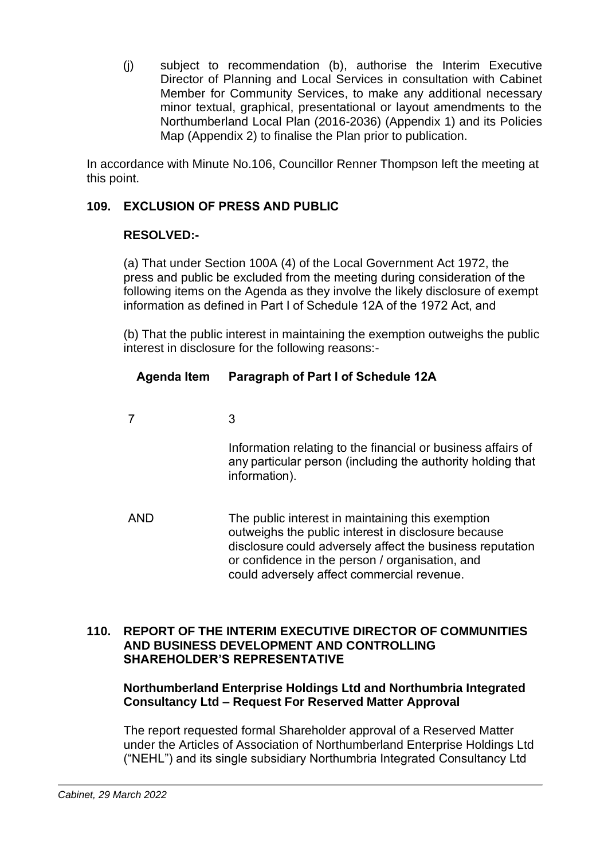(j) subject to recommendation (b), authorise the Interim Executive Director of Planning and Local Services in consultation with Cabinet Member for Community Services, to make any additional necessary minor textual, graphical, presentational or layout amendments to the Northumberland Local Plan (2016-2036) (Appendix 1) and its Policies Map (Appendix 2) to finalise the Plan prior to publication.

In accordance with Minute No.106, Councillor Renner Thompson left the meeting at this point.

# **109. EXCLUSION OF PRESS AND PUBLIC**

## **RESOLVED:-**

(a) That under Section 100A (4) of the Local Government Act 1972, the press and public be excluded from the meeting during consideration of the following items on the Agenda as they involve the likely disclosure of exempt information as defined in Part I of Schedule 12A of the 1972 Act, and   

   (b) That the public interest in maintaining the exemption outweighs the public interest in disclosure for the following reasons:-  

# **Agenda Item   Paragraph of Part I of Schedule 12A**

7  3  

Information relating to the financial or business affairs of any particular person (including the authority holding that information).    

AND   The public interest in maintaining this exemption outweighs the public interest in disclosure because disclosure could adversely affect the business reputation or confidence in the person / organisation, and could adversely affect commercial revenue.  

### **110. REPORT OF THE INTERIM EXECUTIVE DIRECTOR OF COMMUNITIES AND BUSINESS DEVELOPMENT AND CONTROLLING SHAREHOLDER'S REPRESENTATIVE**

## **Northumberland Enterprise Holdings Ltd and Northumbria Integrated Consultancy Ltd – Request For Reserved Matter Approval**

The report requested formal Shareholder approval of a Reserved Matter under the Articles of Association of Northumberland Enterprise Holdings Ltd ("NEHL") and its single subsidiary Northumbria Integrated Consultancy Ltd